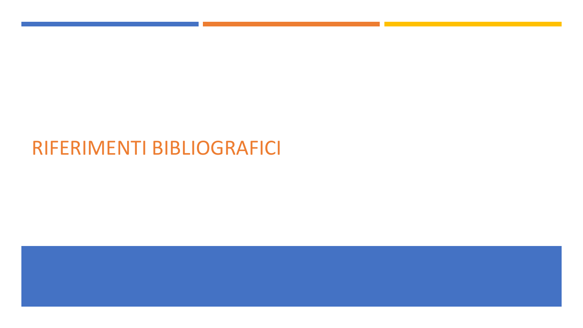## RIFERIMENTI BIBLIOGRAFICI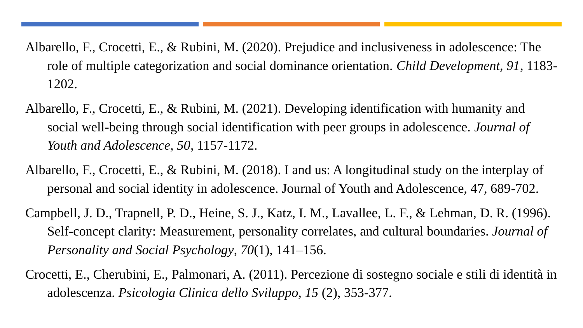- Albarello, F., Crocetti, E., & Rubini, M. (2020). Prejudice and inclusiveness in adolescence: The role of multiple categorization and social dominance orientation. *Child Development, 91*, 1183- 1202.
- Albarello, F., Crocetti, E., & Rubini, M. (2021). Developing identification with humanity and social well-being through social identification with peer groups in adolescence. *Journal of Youth and Adolescence, 50*, 1157-1172.
- Albarello, F., Crocetti, E., & Rubini, M. (2018). I and us: A longitudinal study on the interplay of personal and social identity in adolescence. Journal of Youth and Adolescence, 47, 689-702.
- Campbell, J. D., Trapnell, P. D., Heine, S. J., Katz, I. M., Lavallee, L. F., & Lehman, D. R. (1996). Self-concept clarity: Measurement, personality correlates, and cultural boundaries. *Journal of Personality and Social Psychology*, *70*(1), 141–156.
- Crocetti, E., Cherubini, E., Palmonari, A. (2011). Percezione di sostegno sociale e stili di identità in adolescenza. *Psicologia Clinica dello Sviluppo, 15* (2), 353-377.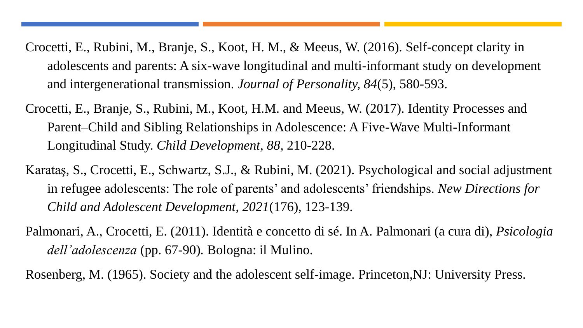- Crocetti, E., Rubini, M., Branje, S., Koot, H. M., & Meeus, W. (2016). Self-concept clarity in adolescents and parents: A six-wave longitudinal and multi-informant study on development and intergenerational transmission. *Journal of Personality, 84*(5), 580-593.
- Crocetti, E., Branje, S., Rubini, M., Koot, H.M. and Meeus, W. (2017). Identity Processes and Parent–Child and Sibling Relationships in Adolescence: A Five-Wave Multi-Informant Longitudinal Study. *Child Development*, *88,* 210-228.
- Karataş, S., Crocetti, E., Schwartz, S.J., & Rubini, M. (2021). Psychological and social adjustment in refugee adolescents: The role of parents' and adolescents' friendships. *New Directions for Child and Adolescent Development, 2021*(176), 123-139.
- Palmonari, A., Crocetti, E. (2011). Identità e concetto di sé. In A. Palmonari (a cura di), *Psicologia dell'adolescenza* (pp. 67-90)*.* Bologna: il Mulino.

Rosenberg, M. (1965). Society and the adolescent self-image. Princeton,NJ: University Press.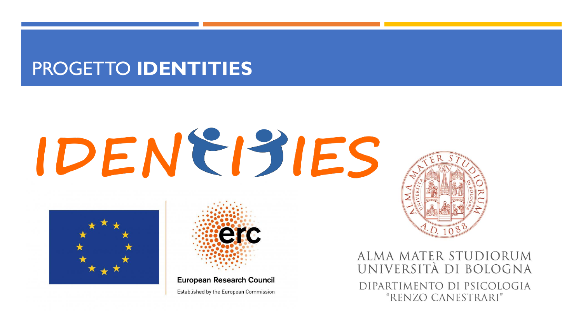## PROGETTO **IDENTITIES**

## IDENEISIES



**European Research Council** Established by the European Commission

erc

ALMA MATER STUDIORUM UNIVERSITÀ DI BOLOGNA DIPARTIMENTO DI PSICOLOGIA "RENZO CANESTRARI"